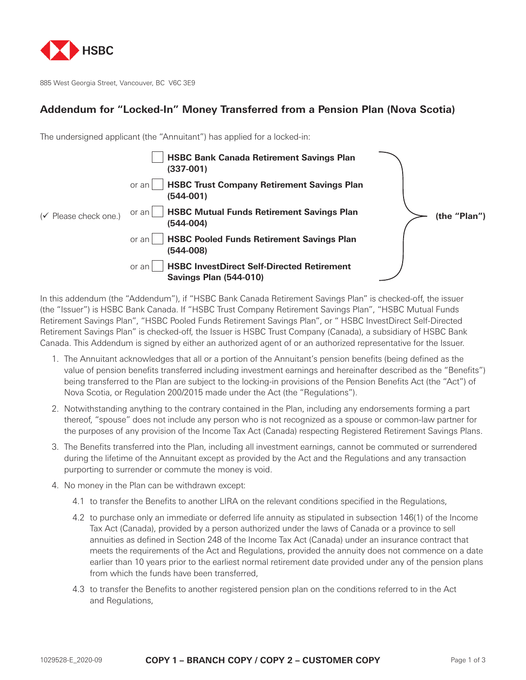

885 West Georgia Street, Vancouver, BC V6C 3E9

## **Addendum for "Locked-In" Money Transferred from a Pension Plan (Nova Scotia)**

The undersigned applicant (the "Annuitant") has applied for a locked-in:

|                                    | <b>HSBC Bank Canada Retirement Savings Plan</b><br>$(337-001)$                              |              |
|------------------------------------|---------------------------------------------------------------------------------------------|--------------|
|                                    | <b>HSBC Trust Company Retirement Savings Plan</b><br>or an<br>$(544-001)$                   |              |
| $({\checkmark}$ Please check one.) | <b>HSBC Mutual Funds Retirement Savings Plan</b><br>or an I<br>$(544-004)$                  | (the "Plan") |
|                                    | <b>HSBC Pooled Funds Retirement Savings Plan</b><br>or an<br>$(544-008)$                    |              |
|                                    | <b>HSBC InvestDirect Self-Directed Retirement</b><br>or an<br><b>Savings Plan (544-010)</b> |              |

In this addendum (the "Addendum"), if "HSBC Bank Canada Retirement Savings Plan" is checked-off, the issuer (the "Issuer") is HSBC Bank Canada. If "HSBC Trust Company Retirement Savings Plan", "HSBC Mutual Funds Retirement Savings Plan", "HSBC Pooled Funds Retirement Savings Plan", or " HSBC InvestDirect Self-Directed Retirement Savings Plan" is checked-off, the Issuer is HSBC Trust Company (Canada), a subsidiary of HSBC Bank Canada. This Addendum is signed by either an authorized agent of or an authorized representative for the Issuer.

- 1. The Annuitant acknowledges that all or a portion of the Annuitant's pension benefits (being defined as the value of pension benefits transferred including investment earnings and hereinafter described as the "Benefits") being transferred to the Plan are subject to the locking-in provisions of the Pension Benefits Act (the "Act") of Nova Scotia, or Regulation 200/2015 made under the Act (the "Regulations").
- 2. Notwithstanding anything to the contrary contained in the Plan, including any endorsements forming a part thereof, "spouse" does not include any person who is not recognized as a spouse or common-law partner for the purposes of any provision of the Income Tax Act (Canada) respecting Registered Retirement Savings Plans.
- 3. The Benefits transferred into the Plan, including all investment earnings, cannot be commuted or surrendered during the lifetime of the Annuitant except as provided by the Act and the Regulations and any transaction purporting to surrender or commute the money is void.
- 4. No money in the Plan can be withdrawn except:
	- 4.1 to transfer the Benefits to another LIRA on the relevant conditions specified in the Regulations,
	- 4.2 to purchase only an immediate or deferred life annuity as stipulated in subsection 146(1) of the Income Tax Act (Canada), provided by a person authorized under the laws of Canada or a province to sell annuities as defined in Section 248 of the Income Tax Act (Canada) under an insurance contract that meets the requirements of the Act and Regulations, provided the annuity does not commence on a date earlier than 10 years prior to the earliest normal retirement date provided under any of the pension plans from which the funds have been transferred,
	- 4.3 to transfer the Benefits to another registered pension plan on the conditions referred to in the Act and Regulations,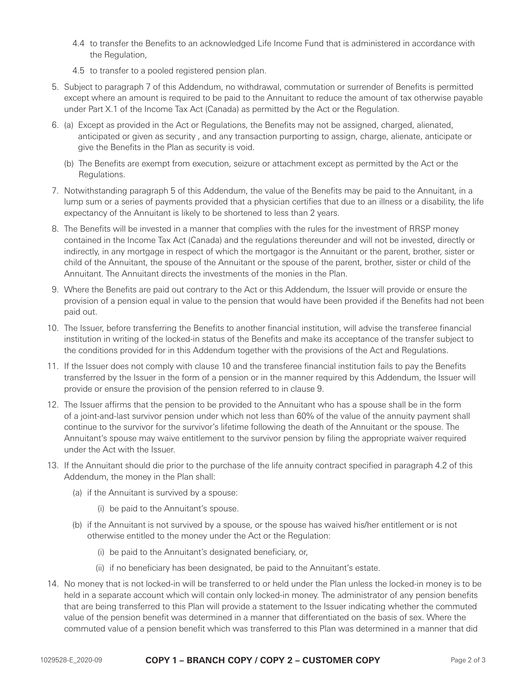- 4.4 to transfer the Benefits to an acknowledged Life Income Fund that is administered in accordance with the Regulation,
- 4.5 to transfer to a pooled registered pension plan.
- 5. Subject to paragraph 7 of this Addendum, no withdrawal, commutation or surrender of Benefits is permitted except where an amount is required to be paid to the Annuitant to reduce the amount of tax otherwise payable under Part X.1 of the Income Tax Act (Canada) as permitted by the Act or the Regulation.
- 6. (a) Except as provided in the Act or Regulations, the Benefits may not be assigned, charged, alienated, anticipated or given as security , and any transaction purporting to assign, charge, alienate, anticipate or give the Benefits in the Plan as security is void.
	- (b) The Benefits are exempt from execution, seizure or attachment except as permitted by the Act or the Regulations.
- 7. Notwithstanding paragraph 5 of this Addendum, the value of the Benefits may be paid to the Annuitant, in a lump sum or a series of payments provided that a physician certifies that due to an illness or a disability, the life expectancy of the Annuitant is likely to be shortened to less than 2 years.
- 8. The Benefits will be invested in a manner that complies with the rules for the investment of RRSP money contained in the Income Tax Act (Canada) and the regulations thereunder and will not be invested, directly or indirectly, in any mortgage in respect of which the mortgagor is the Annuitant or the parent, brother, sister or child of the Annuitant, the spouse of the Annuitant or the spouse of the parent, brother, sister or child of the Annuitant. The Annuitant directs the investments of the monies in the Plan.
- 9. Where the Benefits are paid out contrary to the Act or this Addendum, the Issuer will provide or ensure the provision of a pension equal in value to the pension that would have been provided if the Benefits had not been paid out.
- 10. The Issuer, before transferring the Benefits to another financial institution, will advise the transferee financial institution in writing of the locked-in status of the Benefits and make its acceptance of the transfer subject to the conditions provided for in this Addendum together with the provisions of the Act and Regulations.
- 11. If the Issuer does not comply with clause 10 and the transferee financial institution fails to pay the Benefits transferred by the Issuer in the form of a pension or in the manner required by this Addendum, the Issuer will provide or ensure the provision of the pension referred to in clause 9.
- 12. The Issuer affirms that the pension to be provided to the Annuitant who has a spouse shall be in the form of a joint-and-last survivor pension under which not less than 60% of the value of the annuity payment shall continue to the survivor for the survivor's lifetime following the death of the Annuitant or the spouse. The Annuitant's spouse may waive entitlement to the survivor pension by filing the appropriate waiver required under the Act with the Issuer.
- 13. If the Annuitant should die prior to the purchase of the life annuity contract specified in paragraph 4.2 of this Addendum, the money in the Plan shall:
	- (a) if the Annuitant is survived by a spouse:
		- (i) be paid to the Annuitant's spouse.
	- (b) if the Annuitant is not survived by a spouse, or the spouse has waived his/her entitlement or is not otherwise entitled to the money under the Act or the Regulation:
		- (i) be paid to the Annuitant's designated beneficiary, or,
		- (ii) if no beneficiary has been designated, be paid to the Annuitant's estate.
- 14. No money that is not locked-in will be transferred to or held under the Plan unless the locked-in money is to be held in a separate account which will contain only locked-in money. The administrator of any pension benefits that are being transferred to this Plan will provide a statement to the Issuer indicating whether the commuted value of the pension benefit was determined in a manner that differentiated on the basis of sex. Where the commuted value of a pension benefit which was transferred to this Plan was determined in a manner that did